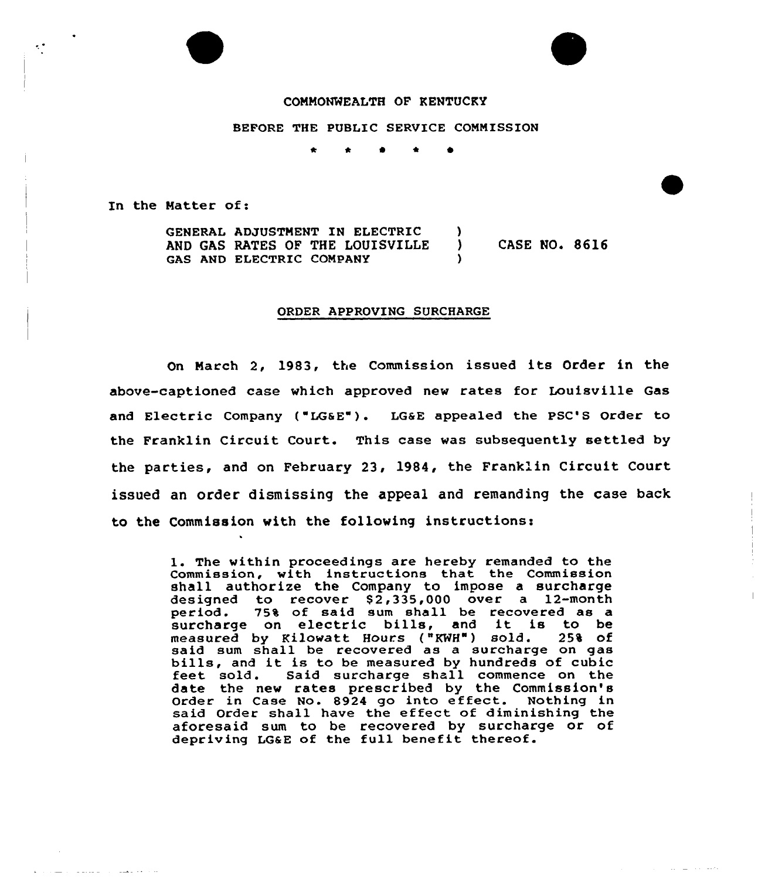

BEFORE THE PUBLIC SERVICE COMMISSION

 $\bullet$   $\star$ 

In the Matter of:

 $\epsilon^+$ 

and a company

والمتحدث والمستورة

GENERAL ADJUSTMENT IN ELECTRIC (a)<br>AND GAS RATES OF THE LOUISVILLE AND GAS RATES OF THE LOUISVILLE ) CASE NO. 8616 GAS AND ELECTRIC COMPANY

#### ORDER APPROVING SURCHARGE

On Narch 2, 1983, the Commission issued its Order in the above-captioned case which approved new rates for Louisville Gas and Electric Company ("LG&E"). LG&E appealed the PSC'S Order to the Franklin Circuit Court. This case was subsequently settled by the parties, and on February 23, 1984, the Franklin Circuit Court issued an order dismissing the appeal and remanding the case back to the Commission with the following instructions:

> l. The within proceedings are hereby remanded to the Commission, with instructions that the Commission shall authorize the Company to impose a surcharge designed to recover \$2,335,000 over a 12-month<br>period. 75% of said sum shall be recovered as a 75% of said sum shall be recovered as a surcharge on electric bills, and it is to be measured by Kilowatt Hours ("KHH") sold. 25% of said sum shall be recovered as a surcharge on gas<br>bills, and it is to be measured by hundreds of cubic<br>feet sold. Said surcharge shall commence on the feet sold. Said surcharge shall commence on the<br>date the new rates prescribed by the Commission's Order in Case No. 8924 go into effect. Nothing in said Order shall have the effect of diminishing the aforesaid sum to be recovered by surcharge or of depriving LG&E of the full benefit thereof.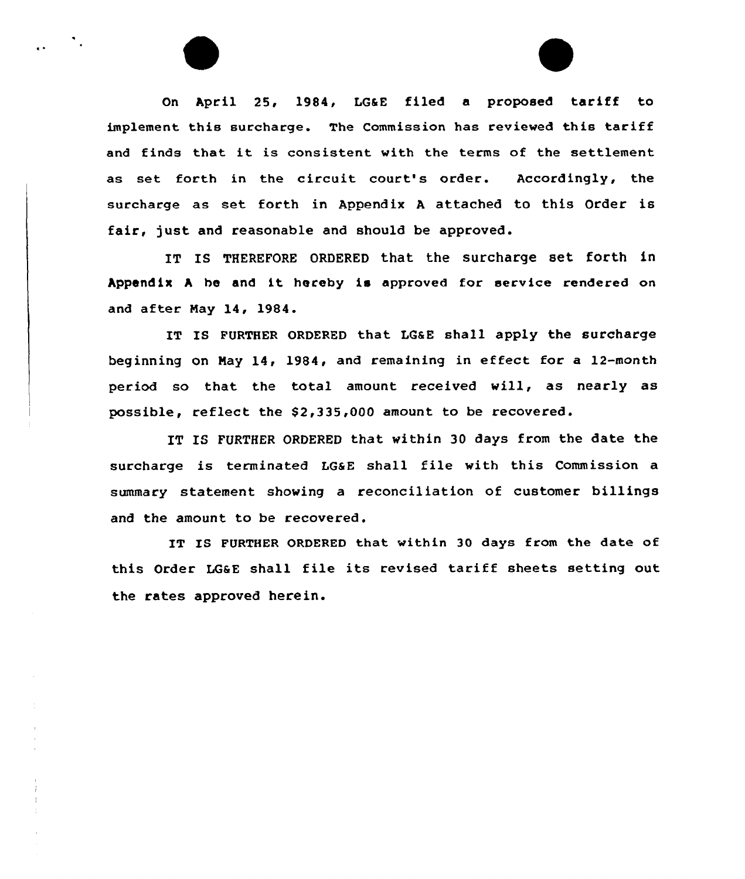On April 25, 1984, LGaE filed <sup>a</sup> proposed tariff to implement this surcharge. The Commission has reviewed this tariff and finds that it is consistent with the terms of the settlement as set forth in the circuit court's order. Accordingly, the surcharge as set forth in Appendix <sup>A</sup> attached to this Order is fair, just and reasonable and should be approved.

IT IS THEREFORE ORDERED that the surcharge set forth in Appendix <sup>A</sup> he and it hereby is approved for service rendered on and after May 14, 1984.

IT IS FURTHER ORDERED that LG&E shall apply the surcharge beginning on May 14, 1984, and remaining in effect for a 12-month period so that the total amount received will, as nearly as possible, reflect the  $$2,335,000$  amount to be recovered.

IT IG FURTHER ORDERED that within 30 days from the date the surcharge is terminated LGaE shall file with this Commission a summary statement showing a reconciliation of customer billings and the amount to be recovered.

IT IS FURTHER ORDERED that within 30 days from the date of this Order LGsE shall file its revised tariff sheets setting out the rates approved herein.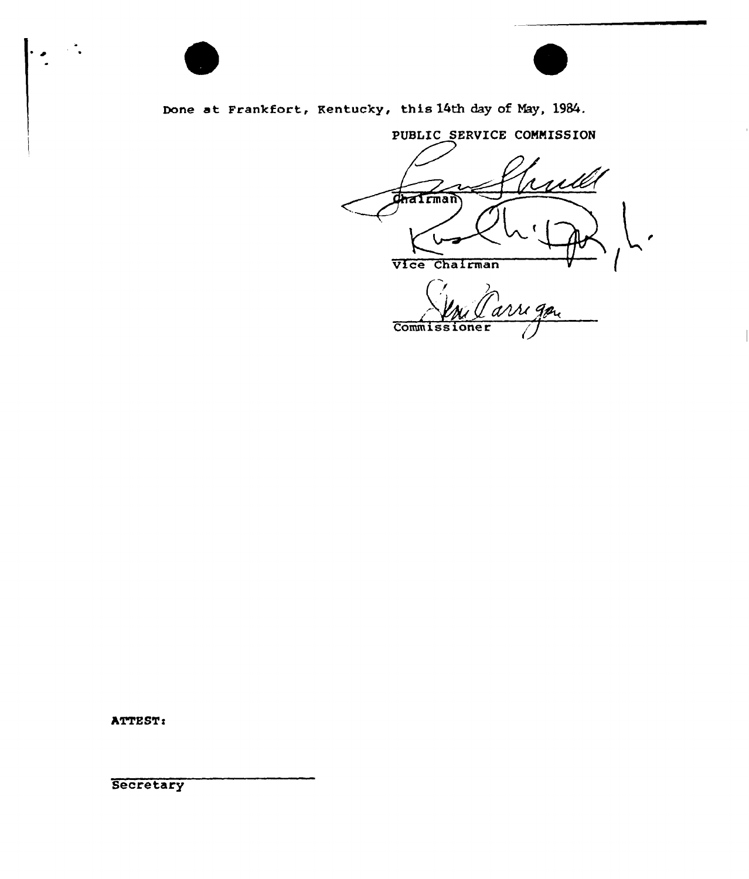



Done at Frankfort, Kentucky, this 14th day of Nay, 1984.

PUBLIC SERVICE COMNISSION **Chairman** Vice Chairman Commissioner

ATTEST:

**Secretary**